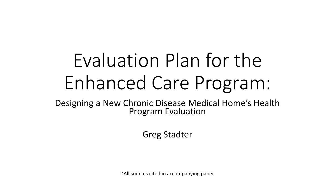# Evaluation Plan for the Enhanced Care Program:

Designing a New Chronic Disease Medical Home's Health Program Evaluation

Greg Stadter

\*All sources cited in accompanying paper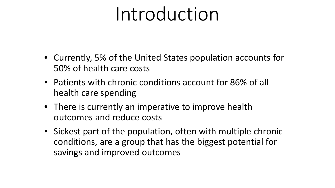### Introduction

- Currently, 5% of the United States population accounts for 50% of health care costs
- Patients with chronic conditions account for 86% of all health care spending
- There is currently an imperative to improve health outcomes and reduce costs
- Sickest part of the population, often with multiple chronic conditions, are a group that has the biggest potential for savings and improved outcomes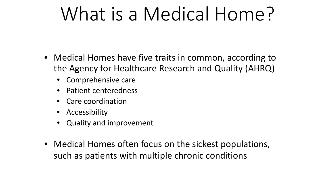## What is a Medical Home?

- Medical Homes have five traits in common, according to the Agency for Healthcare Research and Quality (AHRQ)
	- Comprehensive care
	- Patient centeredness
	- Care coordination
	- Accessibility
	- Quality and improvement
- Medical Homes often focus on the sickest populations, such as patients with multiple chronic conditions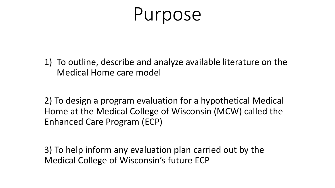#### Purpose

1) To outline, describe and analyze available literature on the Medical Home care model

2) To design a program evaluation for a hypothetical Medical Home at the Medical College of Wisconsin (MCW) called the Enhanced Care Program (ECP)

3) To help inform any evaluation plan carried out by the Medical College of Wisconsin's future ECP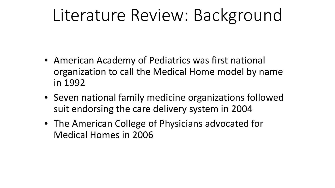#### Literature Review: Background

- American Academy of Pediatrics was first national organization to call the Medical Home model by name in 1992
- Seven national family medicine organizations followed suit endorsing the care delivery system in 2004
- The American College of Physicians advocated for Medical Homes in 2006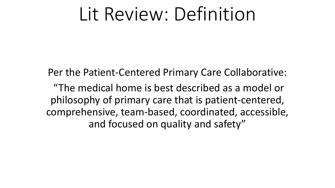#### Lit Review: Definition

Per the Patient-Centered Primary Care Collaborative: "The medical home is best described as a model or philosophy of primary care that is patient-centered, comprehensive, team-based, coordinated, accessible, and focused on quality and safety"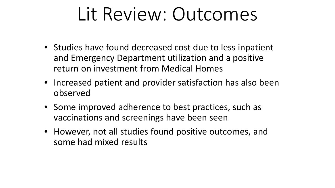### Lit Review: Outcomes

- Studies have found decreased cost due to less inpatient and Emergency Department utilization and a positive return on investment from Medical Homes
- Increased patient and provider satisfaction has also been observed
- Some improved adherence to best practices, such as vaccinations and screenings have been seen
- However, not all studies found positive outcomes, and some had mixed results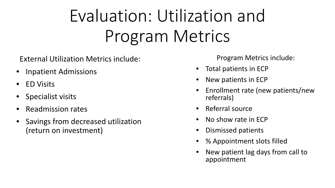## Evaluation: Utilization and Program Metrics

External Utilization Metrics include:

- Inpatient Admissions
- ED Visits
- Specialist visits
- Readmission rates
- Savings from decreased utilization (return on investment)

Program Metrics include:

- Total patients in ECP
- New patients in ECP
- Enrollment rate (new patients/new referrals)
- Referral source
- No show rate in ECP
- Dismissed patients
- % Appointment slots filled
- New patient lag days from call to appointment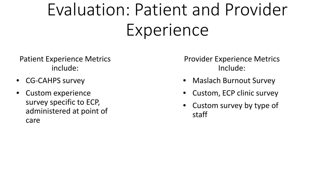### Evaluation: Patient and Provider Experience

Patient Experience Metrics include:

- CG-CAHPS survey
- Custom experience survey specific to ECP, administered at point of care

Provider Experience Metrics Include:

- Maslach Burnout Survey
- Custom, ECP clinic survey
- Custom survey by type of staff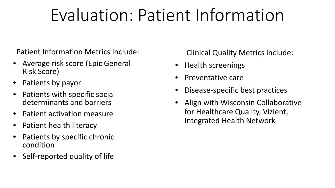#### Evaluation: Patient Information

Patient Information Metrics include:

- Average risk score (Epic General Risk Score)
- Patients by payor
- Patients with specific social determinants and barriers
- Patient activation measure
- Patient health literacy
- Patients by specific chronic condition
- Self-reported quality of life

Clinical Quality Metrics include:

- Health screenings
- Preventative care
- Disease-specific best practices
- Align with Wisconsin Collaborative for Healthcare Quality, Vizient, Integrated Health Network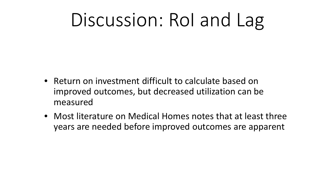### Discussion: RoI and Lag

- Return on investment difficult to calculate based on improved outcomes, but decreased utilization can be measured
- Most literature on Medical Homes notes that at least three years are needed before improved outcomes are apparent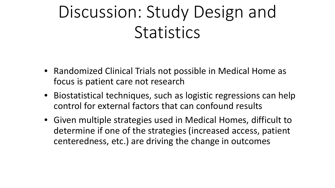#### Discussion: Study Design and **Statistics**

- Randomized Clinical Trials not possible in Medical Home as focus is patient care not research
- Biostatistical techniques, such as logistic regressions can help control for external factors that can confound results
- Given multiple strategies used in Medical Homes, difficult to determine if one of the strategies (increased access, patient centeredness, etc.) are driving the change in outcomes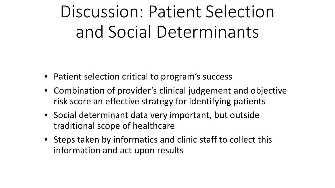#### Discussion: Patient Selection and Social Determinants

- Patient selection critical to program's success
- Combination of provider's clinical judgement and objective risk score an effective strategy for identifying patients
- Social determinant data very important, but outside traditional scope of healthcare
- Steps taken by informatics and clinic staff to collect this information and act upon results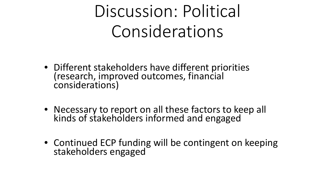#### Discussion: Political Considerations

- Different stakeholders have different priorities (research, improved outcomes, financial considerations)
- Necessary to report on all these factors to keep all kinds of stakeholders informed and engaged
- Continued ECP funding will be contingent on keeping stakeholders engaged